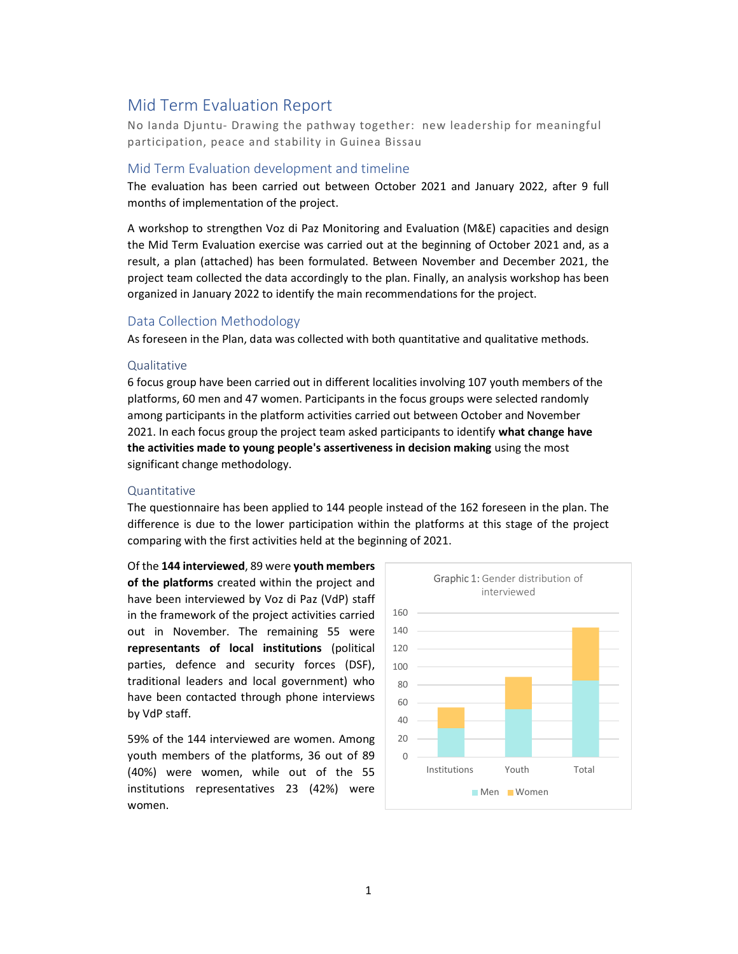# Mid Term Evaluation Report

No Ianda Djuntu- Drawing the pathway together: new leadership for meaningful participation, peace and stability in Guinea Bissau

### Mid Term Evaluation development and timeline

The evaluation has been carried out between October 2021 and January 2022, after 9 full months of implementation of the project.

A workshop to strengthen Voz di Paz Monitoring and Evaluation (M&E) capacities and design the Mid Term Evaluation exercise was carried out at the beginning of October 2021 and, as a result, a plan (attached) has been formulated. Between November and December 2021, the project team collected the data accordingly to the plan. Finally, an analysis workshop has been organized in January 2022 to identify the main recommendations for the project.

### Data Collection Methodology

As foreseen in the Plan, data was collected with both quantitative and qualitative methods.

#### **Qualitative**

6 focus group have been carried out in different localities involving 107 youth members of the platforms, 60 men and 47 women. Participants in the focus groups were selected randomly among participants in the platform activities carried out between October and November 2021. In each focus group the project team asked participants to identify what change have the activities made to young people's assertiveness in decision making using the most significant change methodology.

#### Quantitative

The questionnaire has been applied to 144 people instead of the 162 foreseen in the plan. The difference is due to the lower participation within the platforms at this stage of the project comparing with the first activities held at the beginning of 2021.

Of the 144 interviewed, 89 were youth members of the platforms created within the project and have been interviewed by Voz di Paz (VdP) staff in the framework of the project activities carried out in November. The remaining 55 were representants of local institutions (political parties, defence and security forces (DSF), traditional leaders and local government) who have been contacted through phone interviews by VdP staff.

59% of the 144 interviewed are women. Among youth members of the platforms, 36 out of 89 (40%) were women, while out of the 55 institutions representatives 23 (42%) were women.

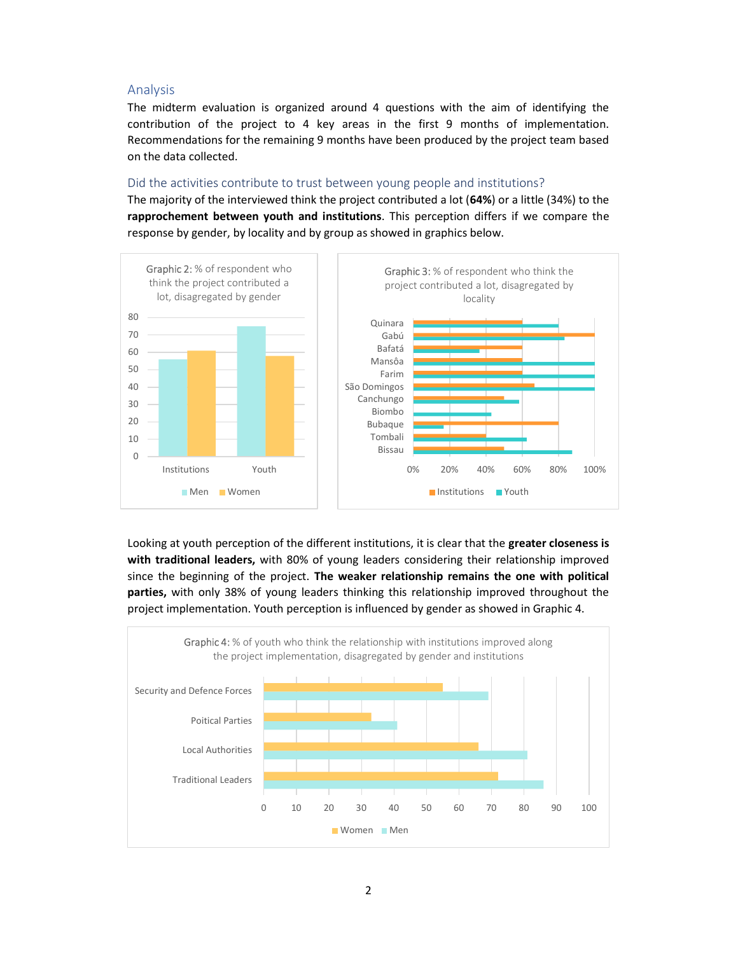## Analysis

The midterm evaluation is organized around 4 questions with the aim of identifying the contribution of the project to 4 key areas in the first 9 months of implementation. Recommendations for the remaining 9 months have been produced by the project team based on the data collected.

#### Did the activities contribute to trust between young people and institutions?

The majority of the interviewed think the project contributed a lot (64%) or a little (34%) to the rapprochement between youth and institutions. This perception differs if we compare the response by gender, by locality and by group as showed in graphics below.



Looking at youth perception of the different institutions, it is clear that the greater closeness is with traditional leaders, with 80% of young leaders considering their relationship improved since the beginning of the project. The weaker relationship remains the one with political parties, with only 38% of young leaders thinking this relationship improved throughout the project implementation. Youth perception is influenced by gender as showed in Graphic 4.

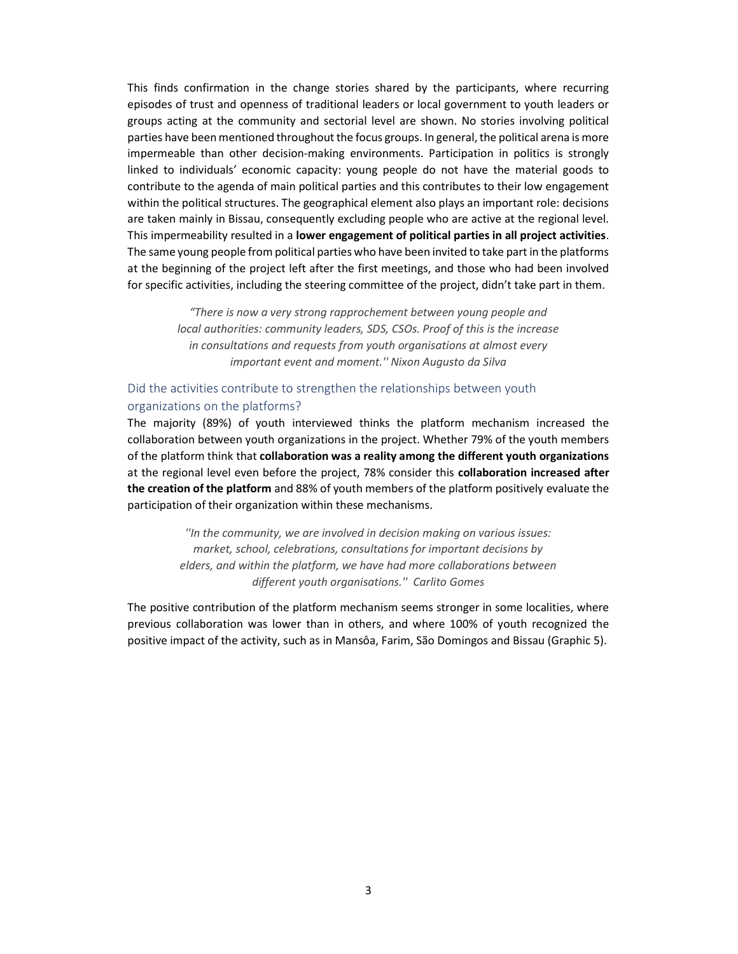This finds confirmation in the change stories shared by the participants, where recurring episodes of trust and openness of traditional leaders or local government to youth leaders or groups acting at the community and sectorial level are shown. No stories involving political parties have been mentioned throughout the focus groups. In general, the political arena is more impermeable than other decision-making environments. Participation in politics is strongly linked to individuals' economic capacity: young people do not have the material goods to contribute to the agenda of main political parties and this contributes to their low engagement within the political structures. The geographical element also plays an important role: decisions are taken mainly in Bissau, consequently excluding people who are active at the regional level. This impermeability resulted in a lower engagement of political parties in all project activities. The same young people from political parties who have been invited to take part in the platforms at the beginning of the project left after the first meetings, and those who had been involved for specific activities, including the steering committee of the project, didn't take part in them.

> "There is now a very strong rapprochement between young people and local authorities: community leaders, SDS, CSOs. Proof of this is the increase in consultations and requests from youth organisations at almost every important event and moment.'' Nixon Augusto da Silva

# Did the activities contribute to strengthen the relationships between youth organizations on the platforms?

The majority (89%) of youth interviewed thinks the platform mechanism increased the collaboration between youth organizations in the project. Whether 79% of the youth members of the platform think that collaboration was a reality among the different youth organizations at the regional level even before the project, 78% consider this collaboration increased after the creation of the platform and 88% of youth members of the platform positively evaluate the participation of their organization within these mechanisms.

> ''In the community, we are involved in decision making on various issues: market, school, celebrations, consultations for important decisions by elders, and within the platform, we have had more collaborations between different youth organisations.'' Carlito Gomes

The positive contribution of the platform mechanism seems stronger in some localities, where previous collaboration was lower than in others, and where 100% of youth recognized the positive impact of the activity, such as in Mansôa, Farim, São Domingos and Bissau (Graphic 5).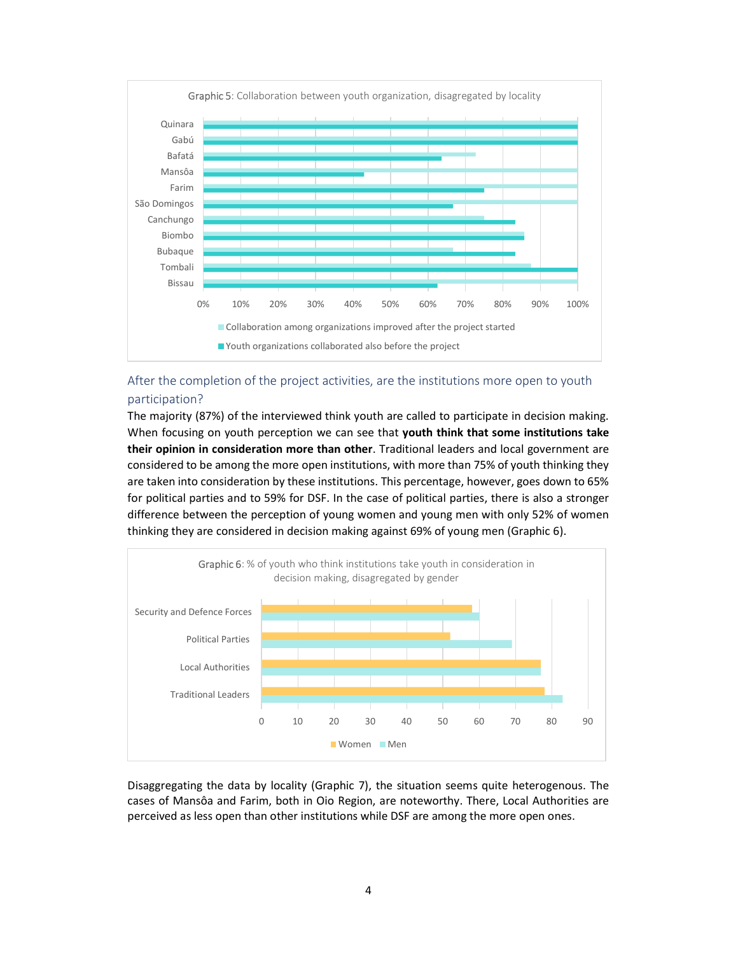

# After the completion of the project activities, are the institutions more open to youth participation?

The majority (87%) of the interviewed think youth are called to participate in decision making. When focusing on youth perception we can see that youth think that some institutions take their opinion in consideration more than other. Traditional leaders and local government are considered to be among the more open institutions, with more than 75% of youth thinking they are taken into consideration by these institutions. This percentage, however, goes down to 65% for political parties and to 59% for DSF. In the case of political parties, there is also a stronger difference between the perception of young women and young men with only 52% of women thinking they are considered in decision making against 69% of young men (Graphic 6).



Disaggregating the data by locality (Graphic 7), the situation seems quite heterogenous. The cases of Mansôa and Farim, both in Oio Region, are noteworthy. There, Local Authorities are perceived as less open than other institutions while DSF are among the more open ones.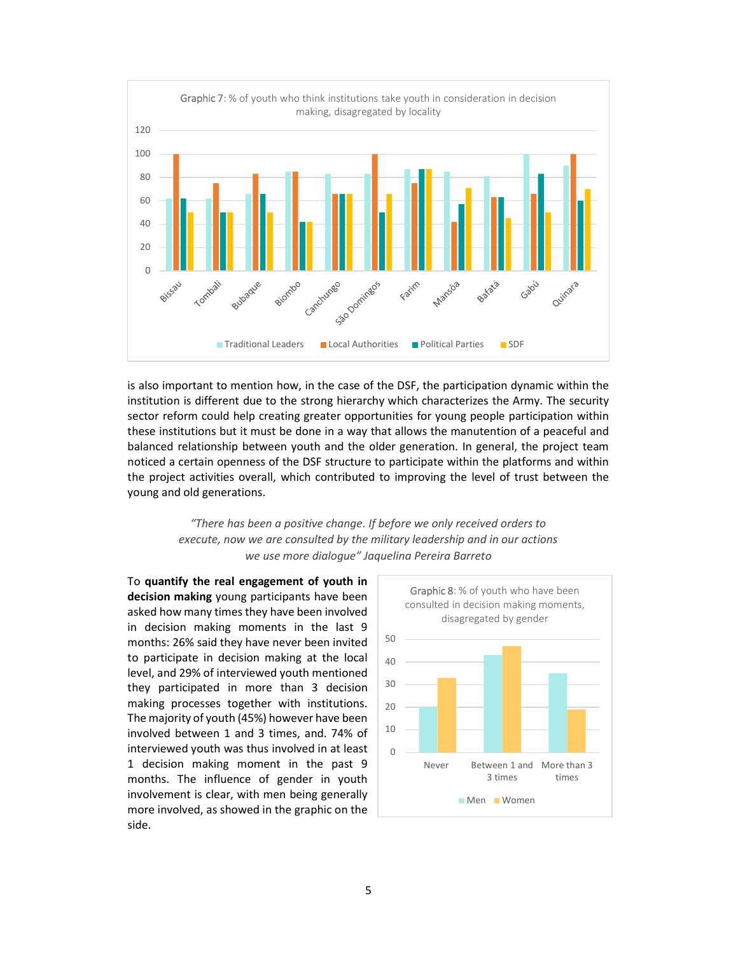

is also important to mention how, in the case of the DSF, the participation dynamic within the institution is different due to the strong hierarchy which characterizes the Army. The security sector reform could help creating greater opportunities for young people participation within these institutions but it must be done in a way that allows the manutention of a peaceful and balanced relationship between youth and the older generation. In general, the project team noticed a certain openness of the DSF structure to participate within the platforms and within the project activities overall, which contributed to improving the level of trust between the young and old generations.

> "There has been a positive change. If before we only received orders to execute, now we are consulted by the military leadership and in our actions we use more dialogue" Jaquelina Pereira Barreto

To quantify the real engagement of youth in decision making young participants have been asked how many times they have been involved in decision making moments in the last 9 months: 26% said they have never been invited to participate in decision making at the local level, and 29% of interviewed youth mentioned they participated in more than 3 decision making processes together with institutions. The majority of youth (45%) however have been involved between 1 and 3 times, and. 74% of interviewed youth was thus involved in at least 1 decision making moment in the past 9 months. The influence of gender in youth involvement is clear, with men being generally more involved, as showed in the graphic on the side.

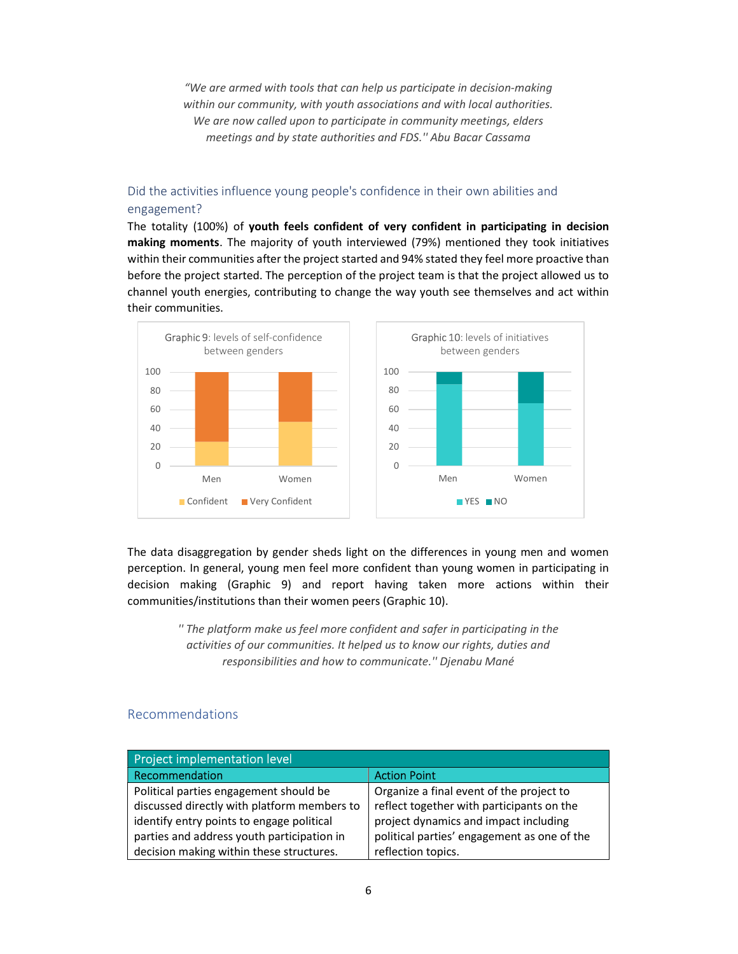"We are armed with tools that can help us participate in decision-making within our community, with youth associations and with local authorities. We are now called upon to participate in community meetings, elders meetings and by state authorities and FDS.'' Abu Bacar Cassama

# Did the activities influence young people's confidence in their own abilities and engagement?

The totality (100%) of youth feels confident of very confident in participating in decision making moments. The majority of youth interviewed (79%) mentioned they took initiatives within their communities after the project started and 94% stated they feel more proactive than before the project started. The perception of the project team is that the project allowed us to channel youth energies, contributing to change the way youth see themselves and act within their communities.



The data disaggregation by gender sheds light on the differences in young men and women perception. In general, young men feel more confident than young women in participating in decision making (Graphic 9) and report having taken more actions within their communities/institutions than their women peers (Graphic 10).

> '' The platform make us feel more confident and safer in participating in the activities of our communities. It helped us to know our rights, duties and responsibilities and how to communicate.'' Djenabu Mané

# Recommendations

| <b>Project implementation level</b>         |                                             |
|---------------------------------------------|---------------------------------------------|
| Recommendation                              | <b>Action Point</b>                         |
| Political parties engagement should be      | Organize a final event of the project to    |
| discussed directly with platform members to | reflect together with participants on the   |
| identify entry points to engage political   | project dynamics and impact including       |
| parties and address youth participation in  | political parties' engagement as one of the |
| decision making within these structures.    | reflection topics.                          |